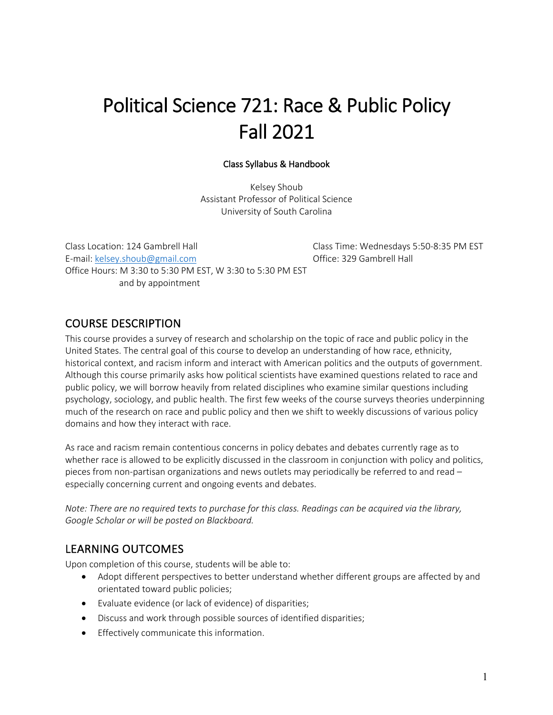# Political Science 721: Race & Public Policy Fall 2021

#### Class Syllabus & Handbook

Kelsey Shoub Assistant Professor of Political Science University of South Carolina

Class Location: 124 Gambrell Hall Class Time: Wednesdays 5:50-8:35 PM EST E-mail: kelsey.shoub@gmail.com Office: 329 Gambrell Hall Office Hours: M 3:30 to 5:30 PM EST, W 3:30 to 5:30 PM EST and by appointment

# COURSE DESCRIPTION

This course provides a survey of research and scholarship on the topic of race and public policy in the United States. The central goal of this course to develop an understanding of how race, ethnicity, historical context, and racism inform and interact with American politics and the outputs of government. Although this course primarily asks how political scientists have examined questions related to race and public policy, we will borrow heavily from related disciplines who examine similar questions including psychology, sociology, and public health. The first few weeks of the course surveys theories underpinning much of the research on race and public policy and then we shift to weekly discussions of various policy domains and how they interact with race.

As race and racism remain contentious concerns in policy debates and debates currently rage as to whether race is allowed to be explicitly discussed in the classroom in conjunction with policy and politics, pieces from non-partisan organizations and news outlets may periodically be referred to and read – especially concerning current and ongoing events and debates.

*Note: There are no required texts to purchase for this class. Readings can be acquired via the library, Google Scholar or will be posted on Blackboard.* 

# LEARNING OUTCOMES

Upon completion of this course, students will be able to:

- Adopt different perspectives to better understand whether different groups are affected by and orientated toward public policies;
- Evaluate evidence (or lack of evidence) of disparities;
- Discuss and work through possible sources of identified disparities;
- Effectively communicate this information.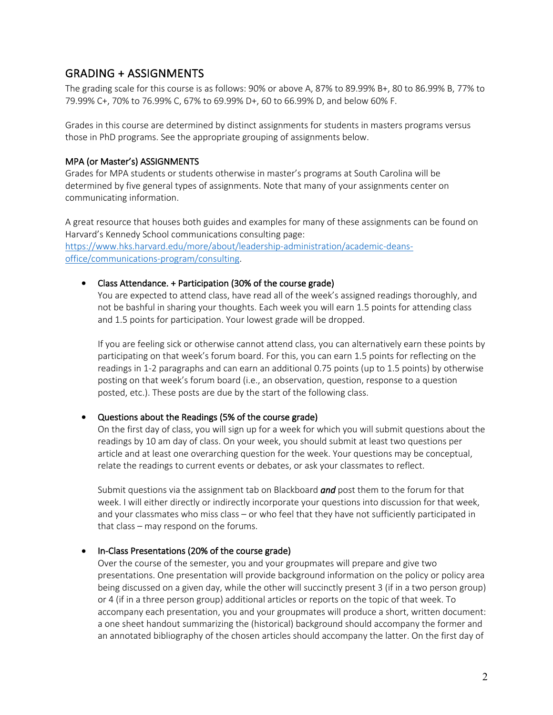# GRADING + ASSIGNMENTS

The grading scale for this course is as follows: 90% or above A, 87% to 89.99% B+, 80 to 86.99% B, 77% to 79.99% C+, 70% to 76.99% C, 67% to 69.99% D+, 60 to 66.99% D, and below 60% F.

Grades in this course are determined by distinct assignments for students in masters programs versus those in PhD programs. See the appropriate grouping of assignments below.

## MPA (or Master's) ASSIGNMENTS

Grades for MPA students or students otherwise in master's programs at South Carolina will be determined by five general types of assignments. Note that many of your assignments center on communicating information.

A great resource that houses both guides and examples for many of these assignments can be found on Harvard's Kennedy School communications consulting page:

https://www.hks.harvard.edu/more/about/leadership-administration/academic-deansoffice/communications-program/consulting.

## • Class Attendance. + Participation (30% of the course grade)

You are expected to attend class, have read all of the week's assigned readings thoroughly, and not be bashful in sharing your thoughts. Each week you will earn 1.5 points for attending class and 1.5 points for participation. Your lowest grade will be dropped.

If you are feeling sick or otherwise cannot attend class, you can alternatively earn these points by participating on that week's forum board. For this, you can earn 1.5 points for reflecting on the readings in 1-2 paragraphs and can earn an additional 0.75 points (up to 1.5 points) by otherwise posting on that week's forum board (i.e., an observation, question, response to a question posted, etc.). These posts are due by the start of the following class.

# • Questions about the Readings (5% of the course grade)

On the first day of class, you will sign up for a week for which you will submit questions about the readings by 10 am day of class. On your week, you should submit at least two questions per article and at least one overarching question for the week. Your questions may be conceptual, relate the readings to current events or debates, or ask your classmates to reflect.

Submit questions via the assignment tab on Blackboard *and* post them to the forum for that week. I will either directly or indirectly incorporate your questions into discussion for that week, and your classmates who miss class – or who feel that they have not sufficiently participated in that class – may respond on the forums.

# • In-Class Presentations (20% of the course grade)

Over the course of the semester, you and your groupmates will prepare and give two presentations. One presentation will provide background information on the policy or policy area being discussed on a given day, while the other will succinctly present 3 (if in a two person group) or 4 (if in a three person group) additional articles or reports on the topic of that week. To accompany each presentation, you and your groupmates will produce a short, written document: a one sheet handout summarizing the (historical) background should accompany the former and an annotated bibliography of the chosen articles should accompany the latter. On the first day of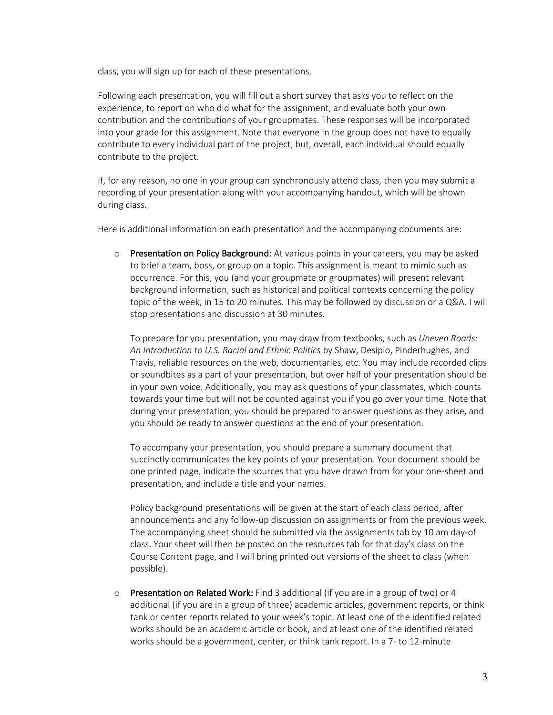class, you will sign up for each of these presentations.

Following each presentation, you will fill out a short survey that asks you to reflect on the experience, to report on who did what for the assignment, and evaluate both your own contribution and the contributions of your groupmates. These responses will be incorporated into your grade for this assignment. Note that everyone in the group does not have to equally contribute to every individual part of the project, but, overall, each individual should equally contribute to the project.

If, for any reason, no one in your group can synchronously attend class, then you may submit a recording of your presentation along with your accompanying handout, which will be shown during class.

Here is additional information on each presentation and the accompanying documents are:

o Presentation on Policy Background: At various points in your careers, you may be asked to brief a team, boss, or group on a topic. This assignment is meant to mimic such as occurrence. For this, you (and your groupmate or groupmates) will present relevant background information, such as historical and political contexts concerning the policy topic of the week, in 15 to 20 minutes. This may be followed by discussion or a Q&A. I will stop presentations and discussion at 30 minutes.

To prepare for you presentation, you may draw from textbooks, such as *Uneven Roads: An Introduction to U.S. Racial and Ethnic Politics* by Shaw, Desipio, Pinderhughes, and Travis, reliable resources on the web, documentaries, etc. You may include recorded clips or soundbites as a part of your presentation, but over half of your presentation should be in your own voice. Additionally, you may ask questions of your classmates, which counts towards your time but will not be counted against you if you go over your time. Note that during your presentation, you should be prepared to answer questions as they arise, and you should be ready to answer questions at the end of your presentation.

To accompany your presentation, you should prepare a summary document that succinctly communicates the key points of your presentation. Your document should be one printed page, indicate the sources that you have drawn from for your one-sheet and presentation, and include a title and your names.

Policy background presentations will be given at the start of each class period, after announcements and any follow-up discussion on assignments or from the previous week. The accompanying sheet should be submitted via the assignments tab by 10 am day-of class. Your sheet will then be posted on the resources tab for that day's class on the Course Content page, and I will bring printed out versions of the sheet to class (when possible).

 $\circ$  Presentation on Related Work: Find 3 additional (if you are in a group of two) or 4 additional (if you are in a group of three) academic articles, government reports, or think tank or center reports related to your week's topic. At least one of the identified related works should be an academic article or book, and at least one of the identified related works should be a government, center, or think tank report. In a 7- to 12-minute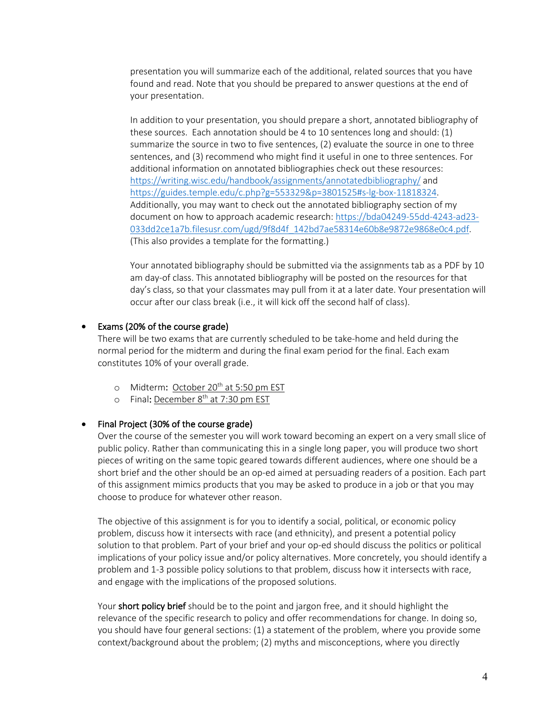presentation you will summarize each of the additional, related sources that you have found and read. Note that you should be prepared to answer questions at the end of your presentation.

In addition to your presentation, you should prepare a short, annotated bibliography of these sources. Each annotation should be 4 to 10 sentences long and should: (1) summarize the source in two to five sentences, (2) evaluate the source in one to three sentences, and (3) recommend who might find it useful in one to three sentences. For additional information on annotated bibliographies check out these resources: https://writing.wisc.edu/handbook/assignments/annotatedbibliography/ and https://guides.temple.edu/c.php?g=553329&p=3801525#s-lg-box-11818324. Additionally, you may want to check out the annotated bibliography section of my document on how to approach academic research: https://bda04249-55dd-4243-ad23- 033dd2ce1a7b.filesusr.com/ugd/9f8d4f\_142bd7ae58314e60b8e9872e9868e0c4.pdf. (This also provides a template for the formatting.)

Your annotated bibliography should be submitted via the assignments tab as a PDF by 10 am day-of class. This annotated bibliography will be posted on the resources for that day's class, so that your classmates may pull from it at a later date. Your presentation will occur after our class break (i.e., it will kick off the second half of class).

#### • Exams (20% of the course grade)

There will be two exams that are currently scheduled to be take-home and held during the normal period for the midterm and during the final exam period for the final. Each exam constitutes 10% of your overall grade.

- o Midterm: October 20<sup>th</sup> at 5:50 pm EST
- o Final: December 8<sup>th</sup> at 7:30 pm EST

#### • Final Project (30% of the course grade)

Over the course of the semester you will work toward becoming an expert on a very small slice of public policy. Rather than communicating this in a single long paper, you will produce two short pieces of writing on the same topic geared towards different audiences, where one should be a short brief and the other should be an op-ed aimed at persuading readers of a position. Each part of this assignment mimics products that you may be asked to produce in a job or that you may choose to produce for whatever other reason.

The objective of this assignment is for you to identify a social, political, or economic policy problem, discuss how it intersects with race (and ethnicity), and present a potential policy solution to that problem. Part of your brief and your op-ed should discuss the politics or political implications of your policy issue and/or policy alternatives. More concretely, you should identify a problem and 1-3 possible policy solutions to that problem, discuss how it intersects with race, and engage with the implications of the proposed solutions.

Your short policy brief should be to the point and jargon free, and it should highlight the relevance of the specific research to policy and offer recommendations for change. In doing so, you should have four general sections: (1) a statement of the problem, where you provide some context/background about the problem; (2) myths and misconceptions, where you directly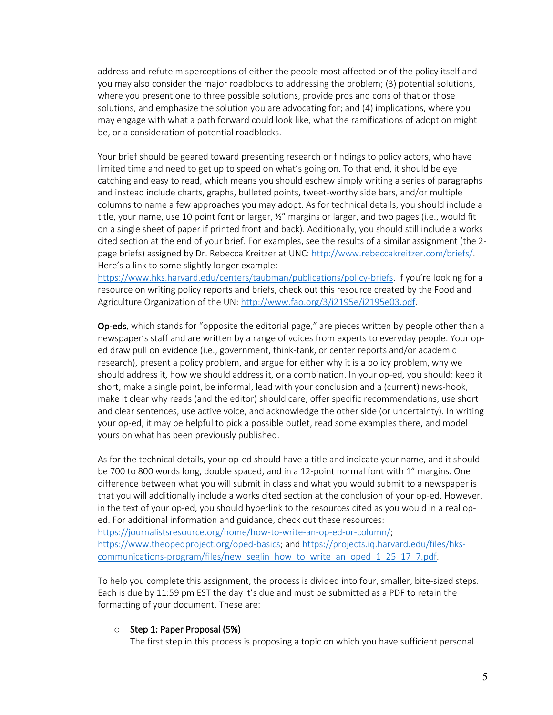address and refute misperceptions of either the people most affected or of the policy itself and you may also consider the major roadblocks to addressing the problem; (3) potential solutions, where you present one to three possible solutions, provide pros and cons of that or those solutions, and emphasize the solution you are advocating for; and (4) implications, where you may engage with what a path forward could look like, what the ramifications of adoption might be, or a consideration of potential roadblocks.

Your brief should be geared toward presenting research or findings to policy actors, who have limited time and need to get up to speed on what's going on. To that end, it should be eye catching and easy to read, which means you should eschew simply writing a series of paragraphs and instead include charts, graphs, bulleted points, tweet-worthy side bars, and/or multiple columns to name a few approaches you may adopt. As for technical details, you should include a title, your name, use 10 point font or larger, ½" margins or larger, and two pages (i.e., would fit on a single sheet of paper if printed front and back). Additionally, you should still include a works cited section at the end of your brief. For examples, see the results of a similar assignment (the 2 page briefs) assigned by Dr. Rebecca Kreitzer at UNC: http://www.rebeccakreitzer.com/briefs/. Here's a link to some slightly longer example:

https://www.hks.harvard.edu/centers/taubman/publications/policy-briefs. If you're looking for a resource on writing policy reports and briefs, check out this resource created by the Food and Agriculture Organization of the UN: http://www.fao.org/3/i2195e/i2195e03.pdf.

Op-eds, which stands for "opposite the editorial page," are pieces written by people other than a newspaper's staff and are written by a range of voices from experts to everyday people. Your oped draw pull on evidence (i.e., government, think-tank, or center reports and/or academic research), present a policy problem, and argue for either why it is a policy problem, why we should address it, how we should address it, or a combination. In your op-ed, you should: keep it short, make a single point, be informal, lead with your conclusion and a (current) news-hook, make it clear why reads (and the editor) should care, offer specific recommendations, use short and clear sentences, use active voice, and acknowledge the other side (or uncertainty). In writing your op-ed, it may be helpful to pick a possible outlet, read some examples there, and model yours on what has been previously published.

As for the technical details, your op-ed should have a title and indicate your name, and it should be 700 to 800 words long, double spaced, and in a 12-point normal font with 1" margins. One difference between what you will submit in class and what you would submit to a newspaper is that you will additionally include a works cited section at the conclusion of your op-ed. However, in the text of your op-ed, you should hyperlink to the resources cited as you would in a real oped. For additional information and guidance, check out these resources: https://journalistsresource.org/home/how-to-write-an-op-ed-or-column/; https://www.theopedproject.org/oped-basics; and https://projects.iq.harvard.edu/files/hkscommunications-program/files/new\_seglin\_how\_to\_write\_an\_oped\_1\_25\_17\_7.pdf.

To help you complete this assignment, the process is divided into four, smaller, bite-sized steps. Each is due by 11:59 pm EST the day it's due and must be submitted as a PDF to retain the formatting of your document. These are:

#### o Step 1: Paper Proposal (5%)

The first step in this process is proposing a topic on which you have sufficient personal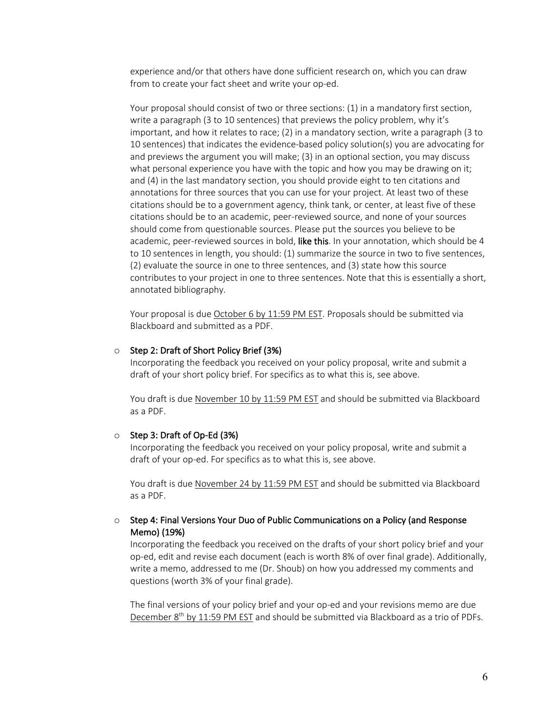experience and/or that others have done sufficient research on, which you can draw from to create your fact sheet and write your op-ed.

Your proposal should consist of two or three sections: (1) in a mandatory first section, write a paragraph (3 to 10 sentences) that previews the policy problem, why it's important, and how it relates to race; (2) in a mandatory section, write a paragraph (3 to 10 sentences) that indicates the evidence-based policy solution(s) you are advocating for and previews the argument you will make; (3) in an optional section, you may discuss what personal experience you have with the topic and how you may be drawing on it; and (4) in the last mandatory section, you should provide eight to ten citations and annotations for three sources that you can use for your project. At least two of these citations should be to a government agency, think tank, or center, at least five of these citations should be to an academic, peer-reviewed source, and none of your sources should come from questionable sources. Please put the sources you believe to be academic, peer-reviewed sources in bold, like this. In your annotation, which should be 4 to 10 sentences in length, you should: (1) summarize the source in two to five sentences, (2) evaluate the source in one to three sentences, and (3) state how this source contributes to your project in one to three sentences. Note that this is essentially a short, annotated bibliography.

Your proposal is due October 6 by 11:59 PM EST. Proposals should be submitted via Blackboard and submitted as a PDF.

#### o Step 2: Draft of Short Policy Brief (3%)

Incorporating the feedback you received on your policy proposal, write and submit a draft of your short policy brief. For specifics as to what this is, see above.

You draft is due November 10 by 11:59 PM EST and should be submitted via Blackboard as a PDF.

#### o Step 3: Draft of Op-Ed (3%)

Incorporating the feedback you received on your policy proposal, write and submit a draft of your op-ed. For specifics as to what this is, see above.

You draft is due November 24 by 11:59 PM EST and should be submitted via Blackboard as a PDF.

#### $\circ$  Step 4: Final Versions Your Duo of Public Communications on a Policy (and Response Memo) (19%)

Incorporating the feedback you received on the drafts of your short policy brief and your op-ed, edit and revise each document (each is worth 8% of over final grade). Additionally, write a memo, addressed to me (Dr. Shoub) on how you addressed my comments and questions (worth 3% of your final grade).

The final versions of your policy brief and your op-ed and your revisions memo are due December  $8<sup>th</sup>$  by 11:59 PM EST and should be submitted via Blackboard as a trio of PDFs.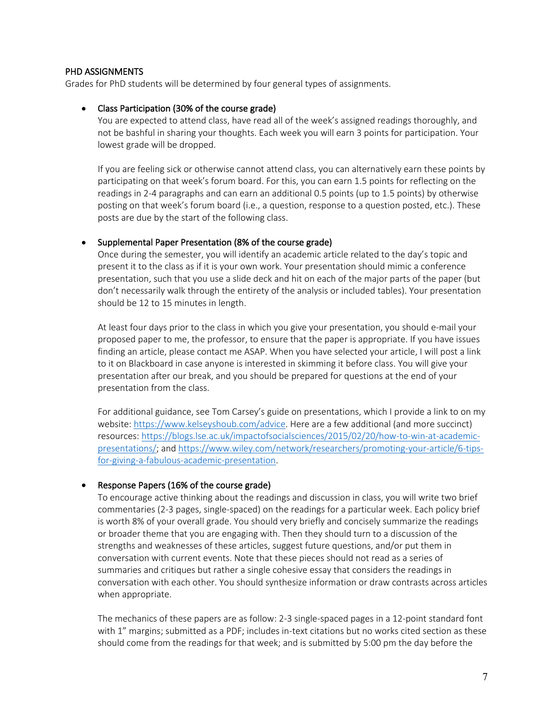#### PHD ASSIGNMENTS

Grades for PhD students will be determined by four general types of assignments.

#### • Class Participation (30% of the course grade)

You are expected to attend class, have read all of the week's assigned readings thoroughly, and not be bashful in sharing your thoughts. Each week you will earn 3 points for participation. Your lowest grade will be dropped.

If you are feeling sick or otherwise cannot attend class, you can alternatively earn these points by participating on that week's forum board. For this, you can earn 1.5 points for reflecting on the readings in 2-4 paragraphs and can earn an additional 0.5 points (up to 1.5 points) by otherwise posting on that week's forum board (i.e., a question, response to a question posted, etc.). These posts are due by the start of the following class.

#### • Supplemental Paper Presentation (8% of the course grade)

Once during the semester, you will identify an academic article related to the day's topic and present it to the class as if it is your own work. Your presentation should mimic a conference presentation, such that you use a slide deck and hit on each of the major parts of the paper (but don't necessarily walk through the entirety of the analysis or included tables). Your presentation should be 12 to 15 minutes in length.

At least four days prior to the class in which you give your presentation, you should e-mail your proposed paper to me, the professor, to ensure that the paper is appropriate. If you have issues finding an article, please contact me ASAP. When you have selected your article, I will post a link to it on Blackboard in case anyone is interested in skimming it before class. You will give your presentation after our break, and you should be prepared for questions at the end of your presentation from the class.

For additional guidance, see Tom Carsey's guide on presentations, which I provide a link to on my website: https://www.kelseyshoub.com/advice. Here are a few additional (and more succinct) resources: https://blogs.lse.ac.uk/impactofsocialsciences/2015/02/20/how-to-win-at-academicpresentations/; and https://www.wiley.com/network/researchers/promoting-your-article/6-tipsfor-giving-a-fabulous-academic-presentation.

#### • Response Papers (16% of the course grade)

To encourage active thinking about the readings and discussion in class, you will write two brief commentaries (2-3 pages, single-spaced) on the readings for a particular week. Each policy brief is worth 8% of your overall grade. You should very briefly and concisely summarize the readings or broader theme that you are engaging with. Then they should turn to a discussion of the strengths and weaknesses of these articles, suggest future questions, and/or put them in conversation with current events. Note that these pieces should not read as a series of summaries and critiques but rather a single cohesive essay that considers the readings in conversation with each other. You should synthesize information or draw contrasts across articles when appropriate.

The mechanics of these papers are as follow: 2-3 single-spaced pages in a 12-point standard font with 1" margins; submitted as a PDF; includes in-text citations but no works cited section as these should come from the readings for that week; and is submitted by 5:00 pm the day before the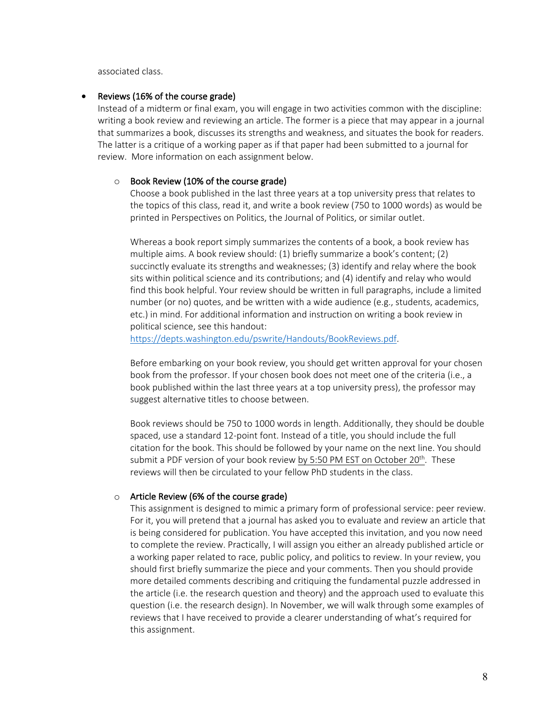associated class.

#### Reviews (16% of the course grade)

Instead of a midterm or final exam, you will engage in two activities common with the discipline: writing a book review and reviewing an article. The former is a piece that may appear in a journal that summarizes a book, discusses its strengths and weakness, and situates the book for readers. The latter is a critique of a working paper as if that paper had been submitted to a journal for review. More information on each assignment below.

#### $\circ$  Book Review (10% of the course grade)

Choose a book published in the last three years at a top university press that relates to the topics of this class, read it, and write a book review (750 to 1000 words) as would be printed in Perspectives on Politics, the Journal of Politics, or similar outlet.

Whereas a book report simply summarizes the contents of a book, a book review has multiple aims. A book review should: (1) briefly summarize a book's content; (2) succinctly evaluate its strengths and weaknesses; (3) identify and relay where the book sits within political science and its contributions; and (4) identify and relay who would find this book helpful. Your review should be written in full paragraphs, include a limited number (or no) quotes, and be written with a wide audience (e.g., students, academics, etc.) in mind. For additional information and instruction on writing a book review in political science, see this handout:

https://depts.washington.edu/pswrite/Handouts/BookReviews.pdf.

Before embarking on your book review, you should get written approval for your chosen book from the professor. If your chosen book does not meet one of the criteria (i.e., a book published within the last three years at a top university press), the professor may suggest alternative titles to choose between.

Book reviews should be 750 to 1000 words in length. Additionally, they should be double spaced, use a standard 12-point font. Instead of a title, you should include the full citation for the book. This should be followed by your name on the next line. You should submit a PDF version of your book review by 5:50 PM EST on October  $20^{th}$ . These reviews will then be circulated to your fellow PhD students in the class.

#### o Article Review (6% of the course grade)

This assignment is designed to mimic a primary form of professional service: peer review. For it, you will pretend that a journal has asked you to evaluate and review an article that is being considered for publication. You have accepted this invitation, and you now need to complete the review. Practically, I will assign you either an already published article or a working paper related to race, public policy, and politics to review. In your review, you should first briefly summarize the piece and your comments. Then you should provide more detailed comments describing and critiquing the fundamental puzzle addressed in the article (i.e. the research question and theory) and the approach used to evaluate this question (i.e. the research design). In November, we will walk through some examples of reviews that I have received to provide a clearer understanding of what's required for this assignment.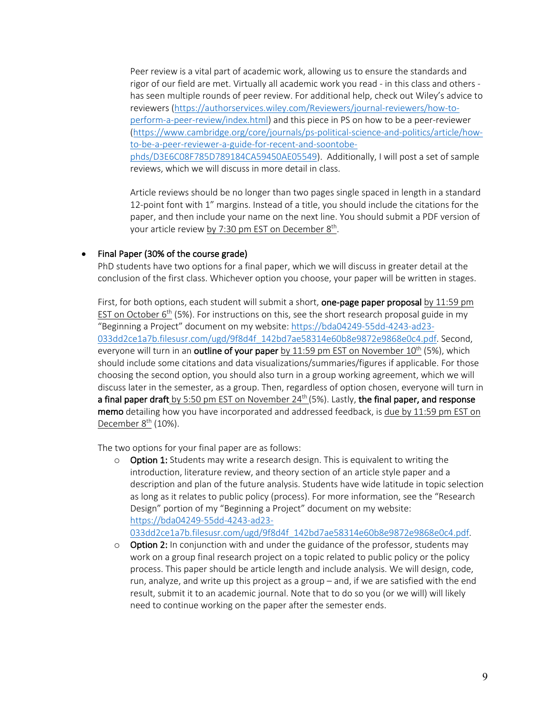Peer review is a vital part of academic work, allowing us to ensure the standards and rigor of our field are met. Virtually all academic work you read - in this class and others has seen multiple rounds of peer review. For additional help, check out Wiley's advice to reviewers (https://authorservices.wiley.com/Reviewers/journal-reviewers/how-toperform-a-peer-review/index.html) and this piece in PS on how to be a peer-reviewer (https://www.cambridge.org/core/journals/ps-political-science-and-politics/article/howto-be-a-peer-reviewer-a-guide-for-recent-and-soontobephds/D3E6C08F785D789184CA59450AE05549). Additionally, I will post a set of sample reviews, which we will discuss in more detail in class.

Article reviews should be no longer than two pages single spaced in length in a standard 12-point font with 1" margins. Instead of a title, you should include the citations for the paper, and then include your name on the next line. You should submit a PDF version of your article review by 7:30 pm EST on December 8<sup>th</sup>.

#### • Final Paper (30% of the course grade)

PhD students have two options for a final paper, which we will discuss in greater detail at the conclusion of the first class. Whichever option you choose, your paper will be written in stages.

First, for both options, each student will submit a short, one-page paper proposal by 11:59 pm EST on October  $6<sup>th</sup>$  (5%). For instructions on this, see the short research proposal guide in my "Beginning a Project" document on my website: https://bda04249-55dd-4243-ad23- 033dd2ce1a7b.filesusr.com/ugd/9f8d4f\_142bd7ae58314e60b8e9872e9868e0c4.pdf. Second, everyone will turn in an outline of your paper by  $11:59$  pm EST on November  $10<sup>th</sup>$  (5%), which should include some citations and data visualizations/summaries/figures if applicable. For those choosing the second option, you should also turn in a group working agreement, which we will discuss later in the semester, as a group. Then, regardless of option chosen, everyone will turn in a final paper draft by 5:50 pm EST on November  $24<sup>th</sup>$  (5%). Lastly, the final paper, and response memo detailing how you have incorporated and addressed feedback, is due by 11:59 pm EST on December  $8<sup>th</sup>$  (10%).

The two options for your final paper are as follows:

 $\circ$  Option 1: Students may write a research design. This is equivalent to writing the introduction, literature review, and theory section of an article style paper and a description and plan of the future analysis. Students have wide latitude in topic selection as long as it relates to public policy (process). For more information, see the "Research Design" portion of my "Beginning a Project" document on my website: https://bda04249-55dd-4243-ad23-

033dd2ce1a7b.filesusr.com/ugd/9f8d4f\_142bd7ae58314e60b8e9872e9868e0c4.pdf.

 $\circ$  Option 2: In conjunction with and under the guidance of the professor, students may work on a group final research project on a topic related to public policy or the policy process. This paper should be article length and include analysis. We will design, code, run, analyze, and write up this project as a group – and, if we are satisfied with the end result, submit it to an academic journal. Note that to do so you (or we will) will likely need to continue working on the paper after the semester ends.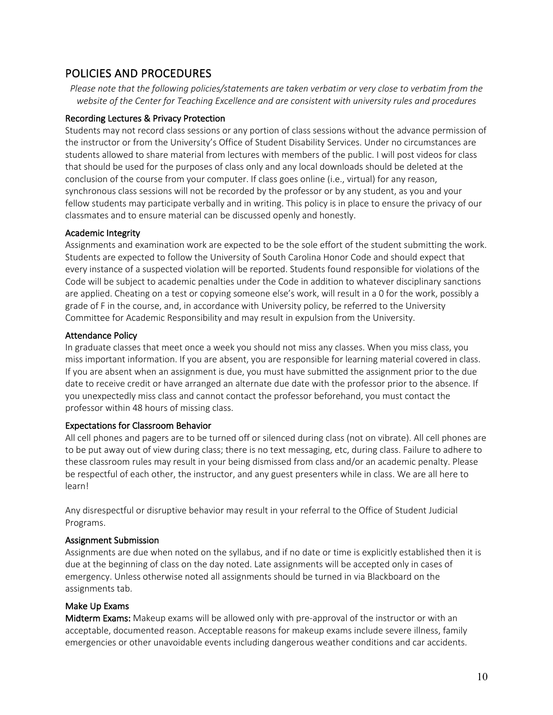# POLICIES AND PROCEDURES

*Please note that the following policies/statements are taken verbatim or very close to verbatim from the website of the Center for Teaching Excellence and are consistent with university rules and procedures*

## Recording Lectures & Privacy Protection

Students may not record class sessions or any portion of class sessions without the advance permission of the instructor or from the University's Office of Student Disability Services. Under no circumstances are students allowed to share material from lectures with members of the public. I will post videos for class that should be used for the purposes of class only and any local downloads should be deleted at the conclusion of the course from your computer. If class goes online (i.e., virtual) for any reason, synchronous class sessions will not be recorded by the professor or by any student, as you and your fellow students may participate verbally and in writing. This policy is in place to ensure the privacy of our classmates and to ensure material can be discussed openly and honestly.

## Academic Integrity

Assignments and examination work are expected to be the sole effort of the student submitting the work. Students are expected to follow the University of South Carolina Honor Code and should expect that every instance of a suspected violation will be reported. Students found responsible for violations of the Code will be subject to academic penalties under the Code in addition to whatever disciplinary sanctions are applied. Cheating on a test or copying someone else's work, will result in a 0 for the work, possibly a grade of F in the course, and, in accordance with University policy, be referred to the University Committee for Academic Responsibility and may result in expulsion from the University.

# Attendance Policy

In graduate classes that meet once a week you should not miss any classes. When you miss class, you miss important information. If you are absent, you are responsible for learning material covered in class. If you are absent when an assignment is due, you must have submitted the assignment prior to the due date to receive credit or have arranged an alternate due date with the professor prior to the absence. If you unexpectedly miss class and cannot contact the professor beforehand, you must contact the professor within 48 hours of missing class.

# Expectations for Classroom Behavior

All cell phones and pagers are to be turned off or silenced during class (not on vibrate). All cell phones are to be put away out of view during class; there is no text messaging, etc, during class. Failure to adhere to these classroom rules may result in your being dismissed from class and/or an academic penalty. Please be respectful of each other, the instructor, and any guest presenters while in class. We are all here to learn!

Any disrespectful or disruptive behavior may result in your referral to the Office of Student Judicial Programs.

#### Assignment Submission

Assignments are due when noted on the syllabus, and if no date or time is explicitly established then it is due at the beginning of class on the day noted. Late assignments will be accepted only in cases of emergency. Unless otherwise noted all assignments should be turned in via Blackboard on the assignments tab.

# Make Up Exams

Midterm Exams: Makeup exams will be allowed only with pre-approval of the instructor or with an acceptable, documented reason. Acceptable reasons for makeup exams include severe illness, family emergencies or other unavoidable events including dangerous weather conditions and car accidents.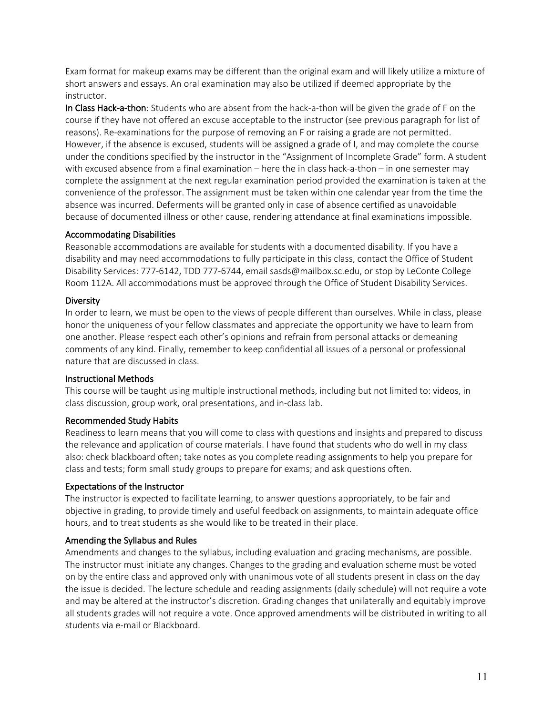Exam format for makeup exams may be different than the original exam and will likely utilize a mixture of short answers and essays. An oral examination may also be utilized if deemed appropriate by the instructor.

In Class Hack-a-thon: Students who are absent from the hack-a-thon will be given the grade of F on the course if they have not offered an excuse acceptable to the instructor (see previous paragraph for list of reasons). Re-examinations for the purpose of removing an F or raising a grade are not permitted. However, if the absence is excused, students will be assigned a grade of I, and may complete the course under the conditions specified by the instructor in the "Assignment of Incomplete Grade" form. A student with excused absence from a final examination – here the in class hack-a-thon – in one semester may complete the assignment at the next regular examination period provided the examination is taken at the convenience of the professor. The assignment must be taken within one calendar year from the time the absence was incurred. Deferments will be granted only in case of absence certified as unavoidable because of documented illness or other cause, rendering attendance at final examinations impossible.

#### Accommodating Disabilities

Reasonable accommodations are available for students with a documented disability. If you have a disability and may need accommodations to fully participate in this class, contact the Office of Student Disability Services: 777-6142, TDD 777-6744, email sasds@mailbox.sc.edu, or stop by LeConte College Room 112A. All accommodations must be approved through the Office of Student Disability Services.

## Diversity

In order to learn, we must be open to the views of people different than ourselves. While in class, please honor the uniqueness of your fellow classmates and appreciate the opportunity we have to learn from one another. Please respect each other's opinions and refrain from personal attacks or demeaning comments of any kind. Finally, remember to keep confidential all issues of a personal or professional nature that are discussed in class.

# Instructional Methods

This course will be taught using multiple instructional methods, including but not limited to: videos, in class discussion, group work, oral presentations, and in-class lab.

#### Recommended Study Habits

Readiness to learn means that you will come to class with questions and insights and prepared to discuss the relevance and application of course materials. I have found that students who do well in my class also: check blackboard often; take notes as you complete reading assignments to help you prepare for class and tests; form small study groups to prepare for exams; and ask questions often.

# Expectations of the Instructor

The instructor is expected to facilitate learning, to answer questions appropriately, to be fair and objective in grading, to provide timely and useful feedback on assignments, to maintain adequate office hours, and to treat students as she would like to be treated in their place.

#### Amending the Syllabus and Rules

Amendments and changes to the syllabus, including evaluation and grading mechanisms, are possible. The instructor must initiate any changes. Changes to the grading and evaluation scheme must be voted on by the entire class and approved only with unanimous vote of all students present in class on the day the issue is decided. The lecture schedule and reading assignments (daily schedule) will not require a vote and may be altered at the instructor's discretion. Grading changes that unilaterally and equitably improve all students grades will not require a vote. Once approved amendments will be distributed in writing to all students via e-mail or Blackboard.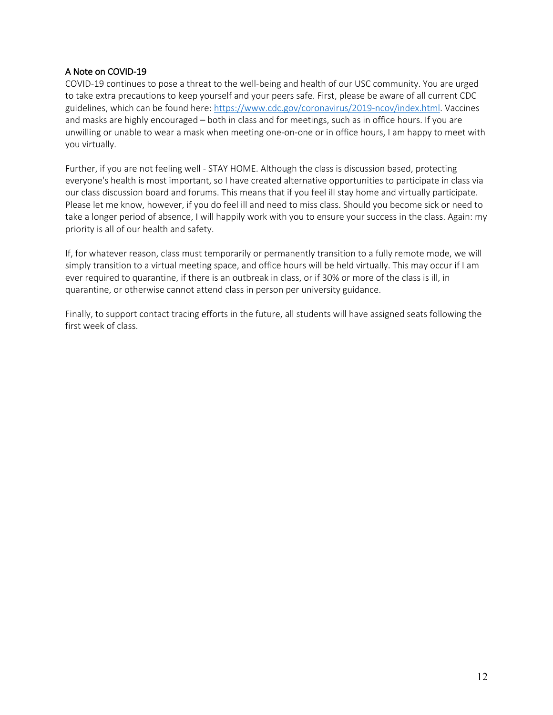## A Note on COVID-19

COVID-19 continues to pose a threat to the well-being and health of our USC community. You are urged to take extra precautions to keep yourself and your peers safe. First, please be aware of all current CDC guidelines, which can be found here: https://www.cdc.gov/coronavirus/2019-ncov/index.html. Vaccines and masks are highly encouraged – both in class and for meetings, such as in office hours. If you are unwilling or unable to wear a mask when meeting one-on-one or in office hours, I am happy to meet with you virtually.

Further, if you are not feeling well - STAY HOME. Although the class is discussion based, protecting everyone's health is most important, so I have created alternative opportunities to participate in class via our class discussion board and forums. This means that if you feel ill stay home and virtually participate. Please let me know, however, if you do feel ill and need to miss class. Should you become sick or need to take a longer period of absence, I will happily work with you to ensure your success in the class. Again: my priority is all of our health and safety.

If, for whatever reason, class must temporarily or permanently transition to a fully remote mode, we will simply transition to a virtual meeting space, and office hours will be held virtually. This may occur if I am ever required to quarantine, if there is an outbreak in class, or if 30% or more of the class is ill, in quarantine, or otherwise cannot attend class in person per university guidance.

Finally, to support contact tracing efforts in the future, all students will have assigned seats following the first week of class.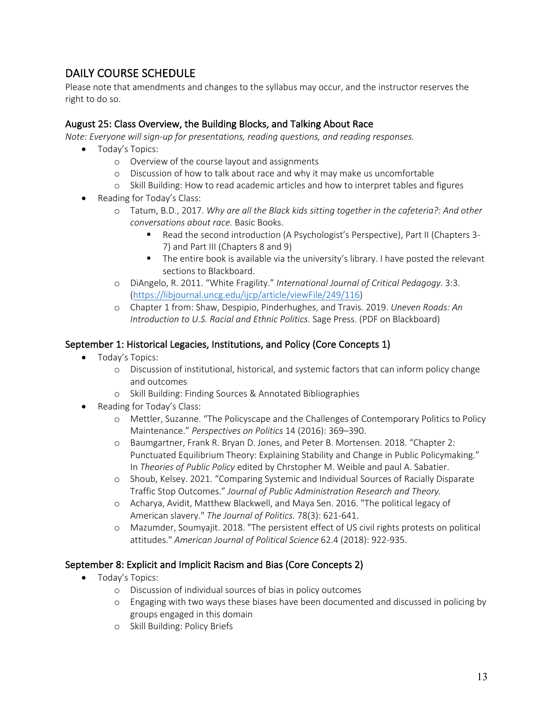# DAILY COURSE SCHEDULE

Please note that amendments and changes to the syllabus may occur, and the instructor reserves the right to do so.

# August 25: Class Overview, the Building Blocks, and Talking About Race

*Note: Everyone will sign-up for presentations, reading questions, and reading responses.*

- Today's Topics:
	- o Overview of the course layout and assignments
	- o Discussion of how to talk about race and why it may make us uncomfortable
	- o Skill Building: How to read academic articles and how to interpret tables and figures
- Reading for Today's Class:
	- o Tatum, B.D., 2017. *Why are all the Black kids sitting together in the cafeteria?: And other conversations about race.* Basic Books.
		- Read the second introduction (A Psychologist's Perspective), Part II (Chapters 3-7) and Part III (Chapters 8 and 9)
		- The entire book is available via the university's library. I have posted the relevant sections to Blackboard.
	- o DiAngelo, R. 2011. "White Fragility." *International Journal of Critical Pedagogy*. 3:3. (https://libjournal.uncg.edu/ijcp/article/viewFile/249/116)
	- o Chapter 1 from: Shaw, Despipio, Pinderhughes, and Travis. 2019. *Uneven Roads: An Introduction to U.S. Racial and Ethnic Politics.* Sage Press. (PDF on Blackboard)

# September 1: Historical Legacies, Institutions, and Policy (Core Concepts 1)

- Today's Topics:
	- o Discussion of institutional, historical, and systemic factors that can inform policy change and outcomes
	- o Skill Building: Finding Sources & Annotated Bibliographies
- Reading for Today's Class:
	- o Mettler, Suzanne. "The Policyscape and the Challenges of Contemporary Politics to Policy Maintenance." *Perspectives on Politics* 14 (2016): 369–390.
	- o Baumgartner, Frank R. Bryan D. Jones, and Peter B. Mortensen. 2018. "Chapter 2: Punctuated Equilibrium Theory: Explaining Stability and Change in Public Policymaking." In *Theories of Public Policy* edited by Chrstopher M. Weible and paul A. Sabatier.
	- o Shoub, Kelsey. 2021. "Comparing Systemic and Individual Sources of Racially Disparate Traffic Stop Outcomes." *Journal of Public Administration Research and Theory.*
	- o Acharya, Avidit, Matthew Blackwell, and Maya Sen. 2016. "The political legacy of American slavery." *The Journal of Politics.* 78(3): 621-641.
	- o Mazumder, Soumyajit. 2018. "The persistent effect of US civil rights protests on political attitudes." *American Journal of Political Science* 62.4 (2018): 922-935.

# September 8: Explicit and Implicit Racism and Bias (Core Concepts 2)

- Today's Topics:
	- o Discussion of individual sources of bias in policy outcomes
	- o Engaging with two ways these biases have been documented and discussed in policing by groups engaged in this domain
	- o Skill Building: Policy Briefs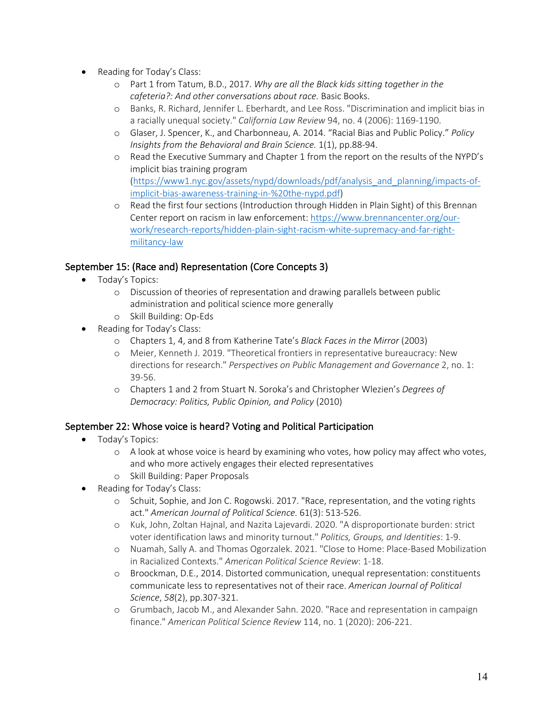- Reading for Today's Class:
	- o Part 1 from Tatum, B.D., 2017. *Why are all the Black kids sitting together in the cafeteria?: And other conversations about race.* Basic Books.
	- o Banks, R. Richard, Jennifer L. Eberhardt, and Lee Ross. "Discrimination and implicit bias in a racially unequal society." *California Law Review* 94, no. 4 (2006): 1169-1190.
	- o Glaser, J. Spencer, K., and Charbonneau, A. 2014. "Racial Bias and Public Policy." *Policy Insights from the Behavioral and Brain Science.* 1(1), pp.88-94.
	- o Read the Executive Summary and Chapter 1 from the report on the results of the NYPD's implicit bias training program (https://www1.nyc.gov/assets/nypd/downloads/pdf/analysis\_and\_planning/impacts-ofimplicit-bias-awareness-training-in-%20the-nypd.pdf)
	- o Read the first four sections (Introduction through Hidden in Plain Sight) of this Brennan Center report on racism in law enforcement: https://www.brennancenter.org/ourwork/research-reports/hidden-plain-sight-racism-white-supremacy-and-far-rightmilitancy-law

# September 15: (Race and) Representation (Core Concepts 3)

- Today's Topics:
	- o Discussion of theories of representation and drawing parallels between public administration and political science more generally
	- o Skill Building: Op-Eds
- Reading for Today's Class:
	- o Chapters 1, 4, and 8 from Katherine Tate's *Black Faces in the Mirror* (2003)
	- o Meier, Kenneth J. 2019. "Theoretical frontiers in representative bureaucracy: New directions for research." *Perspectives on Public Management and Governance* 2, no. 1: 39-56.
	- o Chapters 1 and 2 from Stuart N. Soroka's and Christopher Wlezien's *Degrees of Democracy: Politics, Public Opinion, and Policy* (2010)

# September 22: Whose voice is heard? Voting and Political Participation

- Today's Topics:
	- o A look at whose voice is heard by examining who votes, how policy may affect who votes, and who more actively engages their elected representatives
	- o Skill Building: Paper Proposals
- Reading for Today's Class:
	- o Schuit, Sophie, and Jon C. Rogowski. 2017. "Race, representation, and the voting rights act." *American Journal of Political Science.* 61(3): 513-526.
	- o Kuk, John, Zoltan Hajnal, and Nazita Lajevardi. 2020. "A disproportionate burden: strict voter identification laws and minority turnout." *Politics, Groups, and Identities*: 1-9.
	- o Nuamah, Sally A. and Thomas Ogorzalek. 2021. "Close to Home: Place-Based Mobilization in Racialized Contexts." *American Political Science Review*: 1-18.
	- o Broockman, D.E., 2014. Distorted communication, unequal representation: constituents communicate less to representatives not of their race. *American Journal of Political Science*, *58*(2), pp.307-321.
	- o Grumbach, Jacob M., and Alexander Sahn. 2020. "Race and representation in campaign finance." *American Political Science Review* 114, no. 1 (2020): 206-221.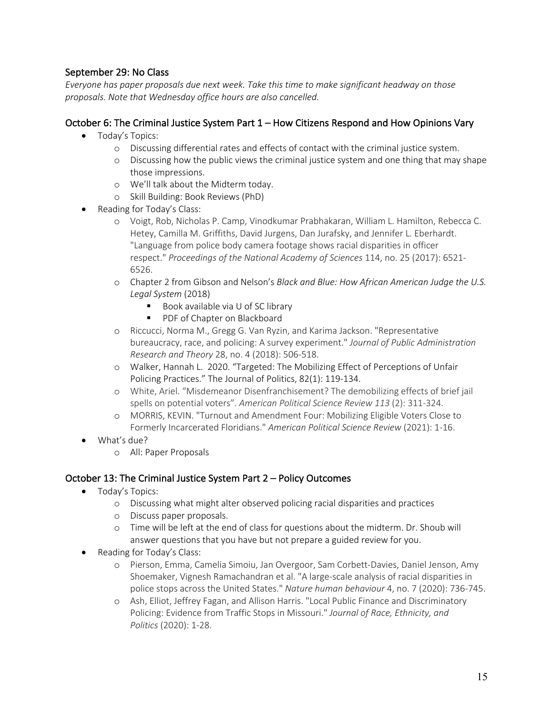# September 29: No Class

*Everyone has paper proposals due next week. Take this time to make significant headway on those proposals. Note that Wednesday office hours are also cancelled.* 

# October 6: The Criminal Justice System Part 1 – How Citizens Respond and How Opinions Vary

- Today's Topics:
	- o Discussing differential rates and effects of contact with the criminal justice system.
	- o Discussing how the public views the criminal justice system and one thing that may shape those impressions.
	- o We'll talk about the Midterm today.
	- o Skill Building: Book Reviews (PhD)
- Reading for Today's Class:
	- o Voigt, Rob, Nicholas P. Camp, Vinodkumar Prabhakaran, William L. Hamilton, Rebecca C. Hetey, Camilla M. Griffiths, David Jurgens, Dan Jurafsky, and Jennifer L. Eberhardt. "Language from police body camera footage shows racial disparities in officer respect." *Proceedings of the National Academy of Sciences* 114, no. 25 (2017): 6521- 6526.
	- o Chapter 2 from Gibson and Nelson's *Black and Blue: How African American Judge the U.S. Legal System* (2018)
		- Book available via U of SC library
		- PDF of Chapter on Blackboard
	- o Riccucci, Norma M., Gregg G. Van Ryzin, and Karima Jackson. "Representative bureaucracy, race, and policing: A survey experiment." *Journal of Public Administration Research and Theory* 28, no. 4 (2018): 506-518.
	- o Walker, Hannah L. 2020. "Targeted: The Mobilizing Effect of Perceptions of Unfair Policing Practices." The Journal of Politics, 82(1): 119-134.
	- o White, Ariel. "Misdemeanor Disenfranchisement? The demobilizing effects of brief jail spells on potential voters". *American Political Science Review 113* (2): 311-324.
	- o MORRIS, KEVIN. "Turnout and Amendment Four: Mobilizing Eligible Voters Close to Formerly Incarcerated Floridians." *American Political Science Review* (2021): 1-16.
- What's due?
	- o All: Paper Proposals

# October 13: The Criminal Justice System Part 2 – Policy Outcomes

- Today's Topics:
	- o Discussing what might alter observed policing racial disparities and practices
	- o Discuss paper proposals.
	- o Time will be left at the end of class for questions about the midterm. Dr. Shoub will answer questions that you have but not prepare a guided review for you.
- Reading for Today's Class:
	- o Pierson, Emma, Camelia Simoiu, Jan Overgoor, Sam Corbett-Davies, Daniel Jenson, Amy Shoemaker, Vignesh Ramachandran et al. "A large-scale analysis of racial disparities in police stops across the United States." *Nature human behaviour* 4, no. 7 (2020): 736-745.
	- o Ash, Elliot, Jeffrey Fagan, and Allison Harris. "Local Public Finance and Discriminatory Policing: Evidence from Traffic Stops in Missouri." *Journal of Race, Ethnicity, and Politics* (2020): 1-28.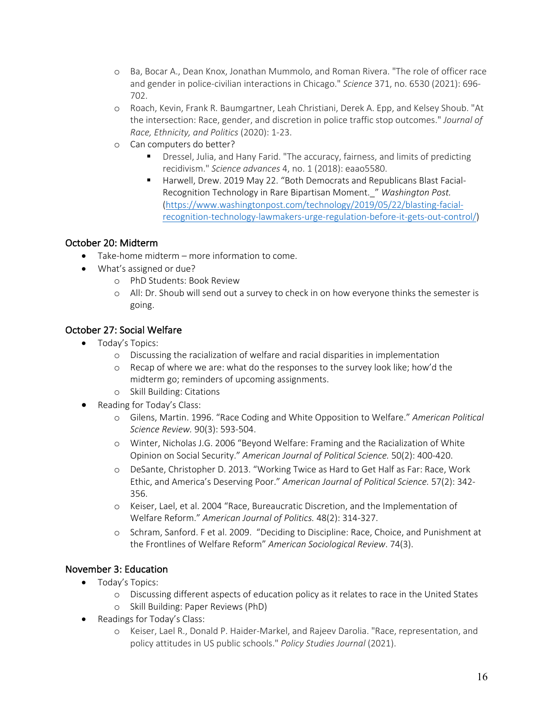- o Ba, Bocar A., Dean Knox, Jonathan Mummolo, and Roman Rivera. "The role of officer race and gender in police-civilian interactions in Chicago." *Science* 371, no. 6530 (2021): 696- 702.
- o Roach, Kevin, Frank R. Baumgartner, Leah Christiani, Derek A. Epp, and Kelsey Shoub. "At the intersection: Race, gender, and discretion in police traffic stop outcomes." *Journal of Race, Ethnicity, and Politics* (2020): 1-23.
- o Can computers do better?
	- Dressel, Julia, and Hany Farid. "The accuracy, fairness, and limits of predicting recidivism." *Science advances* 4, no. 1 (2018): eaao5580.
	- Harwell, Drew. 2019 May 22. "Both Democrats and Republicans Blast Facial-Recognition Technology in Rare Bipartisan Moment.\_" *Washington Post.*  (https://www.washingtonpost.com/technology/2019/05/22/blasting-facialrecognition-technology-lawmakers-urge-regulation-before-it-gets-out-control/)

# October 20: Midterm

- Take-home midterm more information to come.
- What's assigned or due?
	- o PhD Students: Book Review
	- o All: Dr. Shoub will send out a survey to check in on how everyone thinks the semester is going.

# October 27: Social Welfare

- Today's Topics:
	- o Discussing the racialization of welfare and racial disparities in implementation
	- o Recap of where we are: what do the responses to the survey look like; how'd the midterm go; reminders of upcoming assignments.
	- o Skill Building: Citations
- Reading for Today's Class:
	- o Gilens, Martin. 1996. "Race Coding and White Opposition to Welfare." *American Political Science Review.* 90(3): 593-504.
	- o Winter, Nicholas J.G. 2006 "Beyond Welfare: Framing and the Racialization of White Opinion on Social Security." *American Journal of Political Science.* 50(2): 400-420.
	- o DeSante, Christopher D. 2013. "Working Twice as Hard to Get Half as Far: Race, Work Ethic, and America's Deserving Poor." *American Journal of Political Science.* 57(2): 342- 356.
	- o Keiser, Lael, et al. 2004 "Race, Bureaucratic Discretion, and the Implementation of Welfare Reform." *American Journal of Politics.* 48(2): 314-327.
	- o Schram, Sanford. F et al. 2009. "Deciding to Discipline: Race, Choice, and Punishment at the Frontlines of Welfare Reform" *American Sociological Review*. 74(3).

# November 3: Education

- Today's Topics:
	- o Discussing different aspects of education policy as it relates to race in the United States
	- o Skill Building: Paper Reviews (PhD)
- Readings for Today's Class:
	- o Keiser, Lael R., Donald P. Haider-Markel, and Rajeev Darolia. "Race, representation, and policy attitudes in US public schools." *Policy Studies Journal* (2021).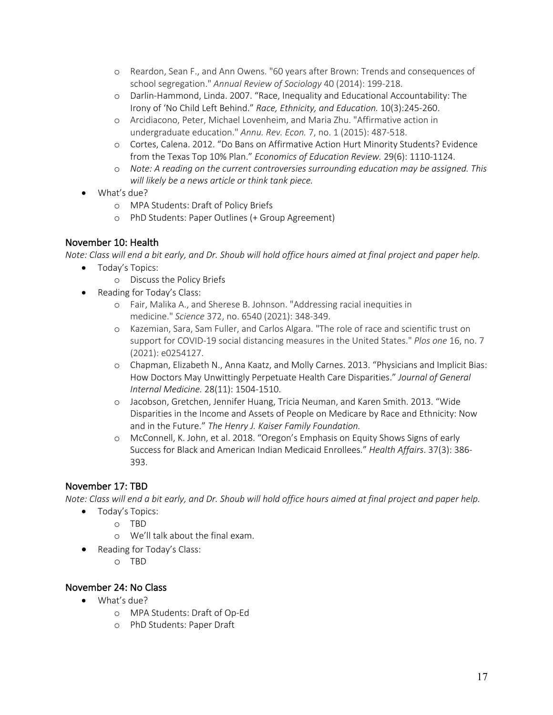- o Reardon, Sean F., and Ann Owens. "60 years after Brown: Trends and consequences of school segregation." *Annual Review of Sociology* 40 (2014): 199-218.
- o Darlin-Hammond, Linda. 2007. "Race, Inequality and Educational Accountability: The Irony of 'No Child Left Behind." *Race, Ethnicity, and Education.* 10(3):245-260.
- o Arcidiacono, Peter, Michael Lovenheim, and Maria Zhu. "Affirmative action in undergraduate education." *Annu. Rev. Econ.* 7, no. 1 (2015): 487-518.
- o Cortes, Calena. 2012. "Do Bans on Affirmative Action Hurt Minority Students? Evidence from the Texas Top 10% Plan." *Economics of Education Review.* 29(6): 1110-1124.
- o *Note: A reading on the current controversies surrounding education may be assigned. This will likely be a news article or think tank piece.*
- What's due?
	- o MPA Students: Draft of Policy Briefs
	- o PhD Students: Paper Outlines (+ Group Agreement)

# November 10: Health

*Note: Class will end a bit early, and Dr. Shoub will hold office hours aimed at final project and paper help.*

- Today's Topics:
	- o Discuss the Policy Briefs
- Reading for Today's Class:
	- o Fair, Malika A., and Sherese B. Johnson. "Addressing racial inequities in medicine." *Science* 372, no. 6540 (2021): 348-349.
	- o Kazemian, Sara, Sam Fuller, and Carlos Algara. "The role of race and scientific trust on support for COVID-19 social distancing measures in the United States." *Plos one* 16, no. 7 (2021): e0254127.
	- o Chapman, Elizabeth N., Anna Kaatz, and Molly Carnes. 2013. "Physicians and Implicit Bias: How Doctors May Unwittingly Perpetuate Health Care Disparities." *Journal of General Internal Medicine.* 28(11): 1504-1510.
	- o Jacobson, Gretchen, Jennifer Huang, Tricia Neuman, and Karen Smith. 2013. "Wide Disparities in the Income and Assets of People on Medicare by Race and Ethnicity: Now and in the Future." *The Henry J. Kaiser Family Foundation.*
	- o McConnell, K. John, et al. 2018. "Oregon's Emphasis on Equity Shows Signs of early Success for Black and American Indian Medicaid Enrollees." *Health Affairs*. 37(3): 386- 393.

# November 17: TBD

*Note: Class will end a bit early, and Dr. Shoub will hold office hours aimed at final project and paper help.*

- Today's Topics:
	- o TBD
	- o We'll talk about the final exam.
- Reading for Today's Class:
	- o TBD

# November 24: No Class

- What's due?
	- o MPA Students: Draft of Op-Ed
	- o PhD Students: Paper Draft